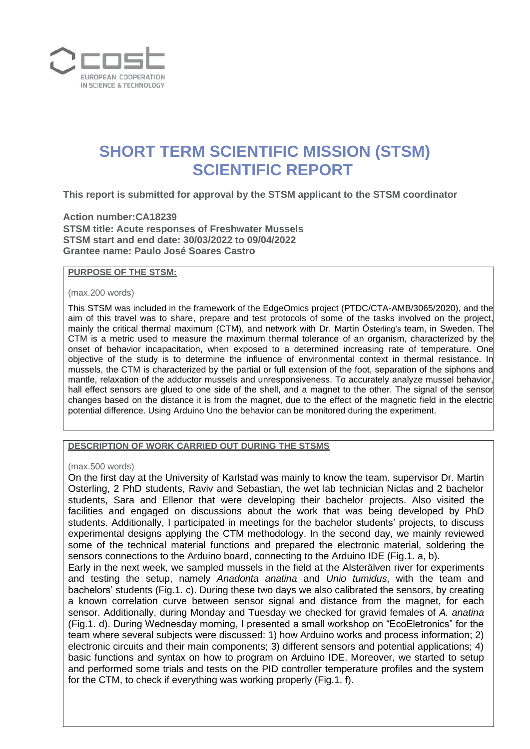

# **SHORT TERM SCIENTIFIC MISSION (STSM) SCIENTIFIC REPORT**

**This report is submitted for approval by the STSM applicant to the STSM coordinator** 

**Action number:CA18239 STSM title: Acute responses of Freshwater Mussels STSM start and end date: 30/03/2022 to 09/04/2022 Grantee name: Paulo José Soares Castro**

# **PURPOSE OF THE STSM:**

### (max.200 words)

This STSM was included in the framework of the EdgeOmics project (PTDC/CTA-AMB/3065/2020), and the aim of this travel was to share, prepare and test protocols of some of the tasks involved on the project, mainly the critical thermal maximum (CTM), and network with Dr. Martin Österling's team, in Sweden. The CTM is a metric used to measure the maximum thermal tolerance of an organism, characterized by the onset of behavior incapacitation, when exposed to a determined increasing rate of temperature. One objective of the study is to determine the influence of environmental context in thermal resistance. In mussels, the CTM is characterized by the partial or full extension of the foot, separation of the siphons and mantle, relaxation of the adductor mussels and unresponsiveness. To accurately analyze mussel behavior, hall effect sensors are glued to one side of the shell, and a magnet to the other. The signal of the sensor changes based on the distance it is from the magnet, due to the effect of the magnetic field in the electric potential difference. Using Arduino Uno the behavior can be monitored during the experiment.

**DESCRIPTION OF WORK CARRIED OUT DURING THE STSMS**

### (max.500 words)

On the first day at the University of Karlstad was mainly to know the team, supervisor Dr. Martin Osterling, 2 PhD students, Raviv and Sebastian, the wet lab technician Niclas and 2 bachelor students, Sara and Ellenor that were developing their bachelor projects. Also visited the facilities and engaged on discussions about the work that was being developed by PhD students. Additionally, I participated in meetings for the bachelor students' projects, to discuss experimental designs applying the CTM methodology. In the second day, we mainly reviewed some of the technical material functions and prepared the electronic material, soldering the sensors connections to the Arduino board, connecting to the Arduino IDE (Fig.1. a, b).

Early in the next week, we sampled mussels in the field at the Alsterälven river for experiments and testing the setup, namely *Anadonta anatina* and *Unio tumidus*, with the team and bachelors' students (Fig.1. c). During these two days we also calibrated the sensors, by creating a known correlation curve between sensor signal and distance from the magnet, for each sensor. Additionally, during Monday and Tuesday we checked for gravid females of *A. anatina*  (Fig.1. d). During Wednesday morning, I presented a small workshop on "EcoEletronics" for the team where several subjects were discussed: 1) how Arduino works and process information; 2) electronic circuits and their main components; 3) different sensors and potential applications; 4) basic functions and syntax on how to program on Arduino IDE. Moreover, we started to setup and performed some trials and tests on the PID controller temperature profiles and the system for the CTM, to check if everything was working properly (Fig.1. f).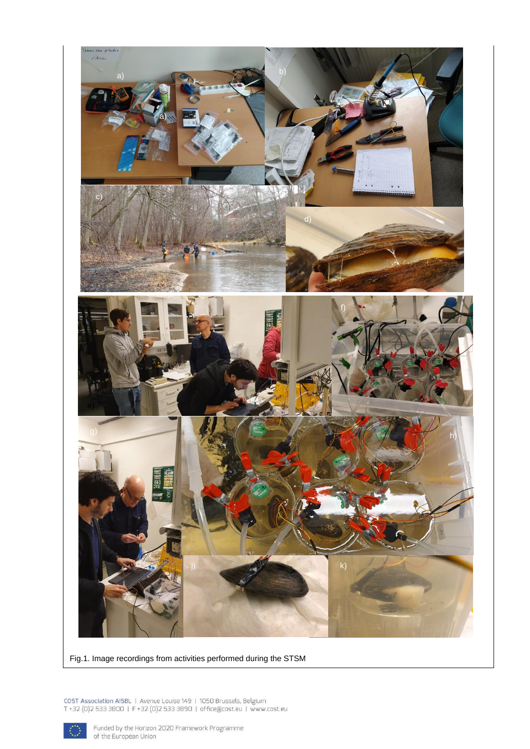

Fig.1. Image recordings from activities performed during the STSM

COST Association AISBL | Avenue Louise 149 | 1050 Brussels, Belgium<br>T +32 (0)2 533 3800 | F +32 (0)2 533 3890 | office@cost.eu | www.cost.eu



Funded by the Horizon 2020 Framework Programme<br>of the European Union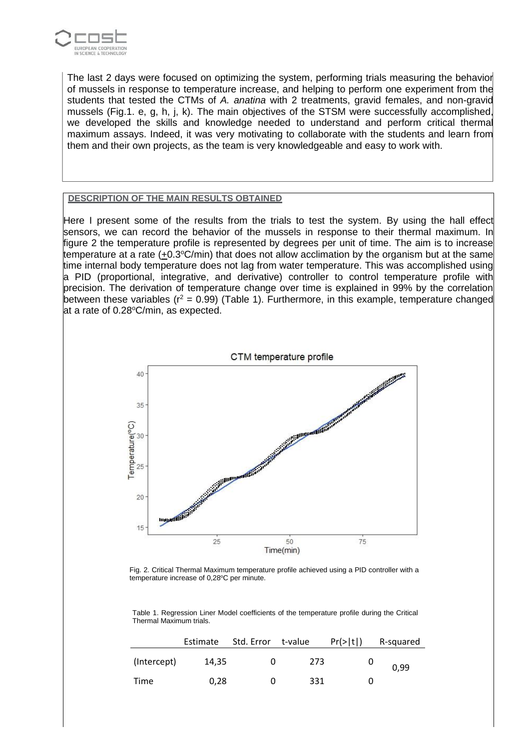

The last 2 days were focused on optimizing the system, performing trials measuring the behavior of mussels in response to temperature increase, and helping to perform one experiment from the students that tested the CTMs of *A. anatina* with 2 treatments, gravid females, and non-gravid mussels (Fig.1. e, g, h, j, k). The main objectives of the STSM were successfully accomplished, we developed the skills and knowledge needed to understand and perform critical thermal maximum assays. Indeed, it was very motivating to collaborate with the students and learn from them and their own projects, as the team is very knowledgeable and easy to work with.

# **DESCRIPTION OF THE MAIN RESULTS OBTAINED**

Here I present some of the results from the trials to test the system. By using the hall effect sensors, we can record the behavior of the mussels in response to their thermal maximum. In figure 2 the temperature profile is represented by degrees per unit of time. The aim is to increase temperature at a rate (+0.3 $\degree$ C/min) that does not allow acclimation by the organism but at the same time internal body temperature does not lag from water temperature. This was accomplished using a PID (proportional, integrative, and derivative) controller to control temperature profile with precision. The derivation of temperature change over time is explained in 99% by the correlation between these variables ( $r^2 = 0.99$ ) (Table 1). Furthermore, in this example, temperature changed at a rate of 0.28°C/min, as expected.



Fig. 2. Critical Thermal Maximum temperature profile achieved using a PID controller with a temperature increase of 0,28°C per minute.

Table 1. Regression Liner Model coefficients of the temperature profile during the Critical Thermal Maximum trials.

|             | Estimate | Std. Error t-value |     | Pr(> t ) | R-squared |
|-------------|----------|--------------------|-----|----------|-----------|
| (Intercept) | 14,35    | 0                  | 273 |          | 0,99      |
| Time        | 0.28     | O                  | 331 | 0        |           |